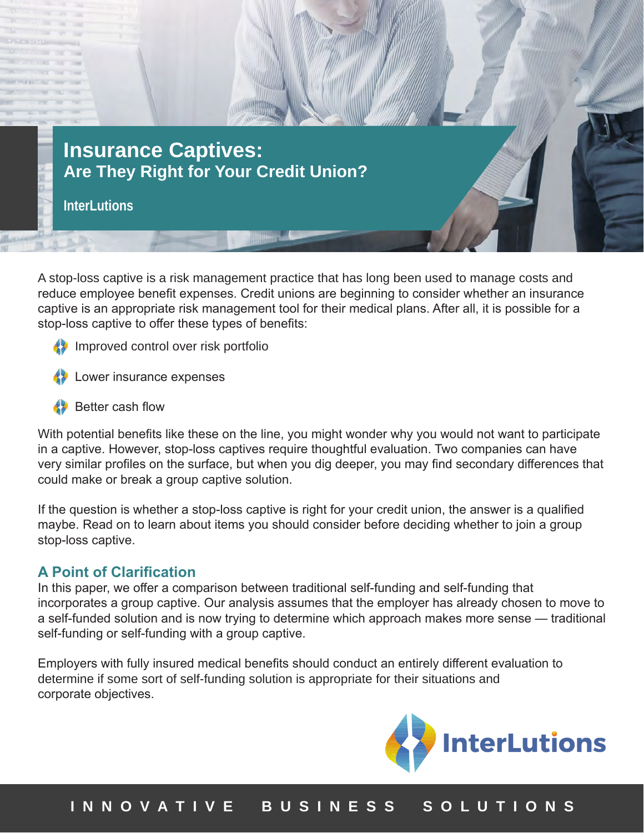

**InterLutions**

A stop-loss captive is a risk management practice that has long been used to manage costs and reduce employee benefit expenses. Credit unions are beginning to consider whether an insurance captive is an appropriate risk management tool for their medical plans. After all, it is possible for a stop-loss captive to offer these types of benefits:

- Improved control over risk portfolio
- Lower insurance expenses
- Better cash flow

With potential benefits like these on the line, you might wonder why you would not want to participate in a captive. However, stop-loss captives require thoughtful evaluation. Two companies can have very similar profiles on the surface, but when you dig deeper, you may find secondary differences that could make or break a group captive solution.

If the question is whether a stop-loss captive is right for your credit union, the answer is a qualified maybe. Read on to learn about items you should consider before deciding whether to join a group stop-loss captive.

#### **A Point of Clarification**

In this paper, we offer a comparison between traditional self-funding and self-funding that incorporates a group captive. Our analysis assumes that the employer has already chosen to move to a self-funded solution and is now trying to determine which approach makes more sense — traditional self-funding or self-funding with a group captive.

Employers with fully insured medical benefits should conduct an entirely different evaluation to determine if some sort of self-funding solution is appropriate for their situations and corporate objectives.



# **I N N O V A T I V E B U S I N E S S S O L U T I O N S**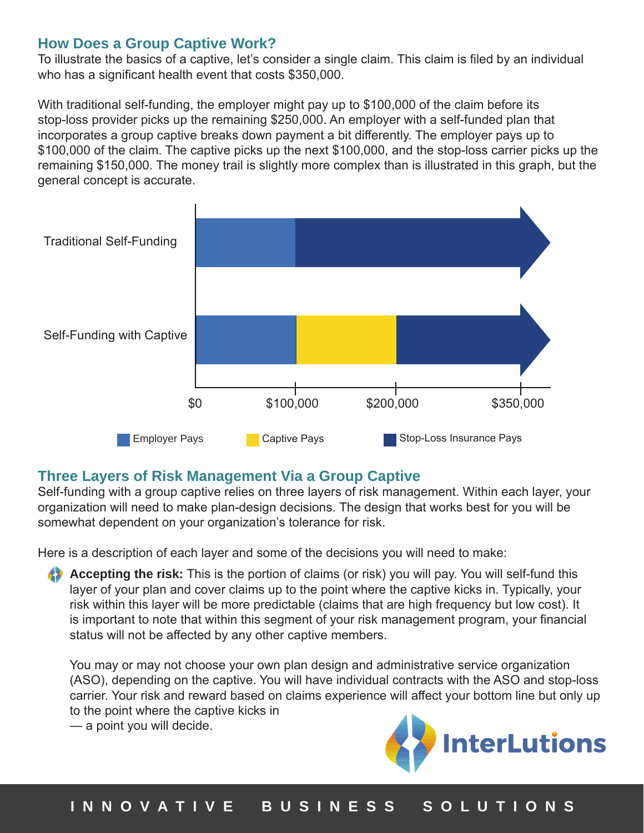#### **How Does a Group Captive Work?**

To illustrate the basics of a captive, let's consider a single claim. This claim is filed by an individual who has a significant health event that costs \$350,000.

With traditional self-funding, the employer might pay up to \$100,000 of the claim before its stop-loss provider picks up the remaining \$250,000. An employer with a self-funded plan that incorporates a group captive breaks down payment a bit differently. The employer pays up to \$100,000 of the claim. The captive picks up the next \$100,000, and the stop-loss carrier picks up the remaining \$150,000. The money trail is slightly more complex than is illustrated in this graph, but the general concept is accurate.



# **Three Layers of Risk Management Via a Group Captive**

Self-funding with a group captive relies on three layers of risk management. Within each layer, your organization will need to make plan-design decisions. The design that works best for you will be somewhat dependent on your organization's tolerance for risk.

Here is a description of each layer and some of the decisions you will need to make:

**Accepting the risk:** This is the portion of claims (or risk) you will pay. You will self-fund this layer of your plan and cover claims up to the point where the captive kicks in. Typically, your risk within this layer will be more predictable (claims that are high frequency but low cost). It is important to note that within this segment of your risk management program, your financial status will not be affected by any other captive members.

You may or may not choose your own plan design and administrative service organization (ASO), depending on the captive. You will have individual contracts with the ASO and stop-loss carrier. Your risk and reward based on claims experience will affect your bottom line but only up to the point where the captive kicks in

— a point you will decide.

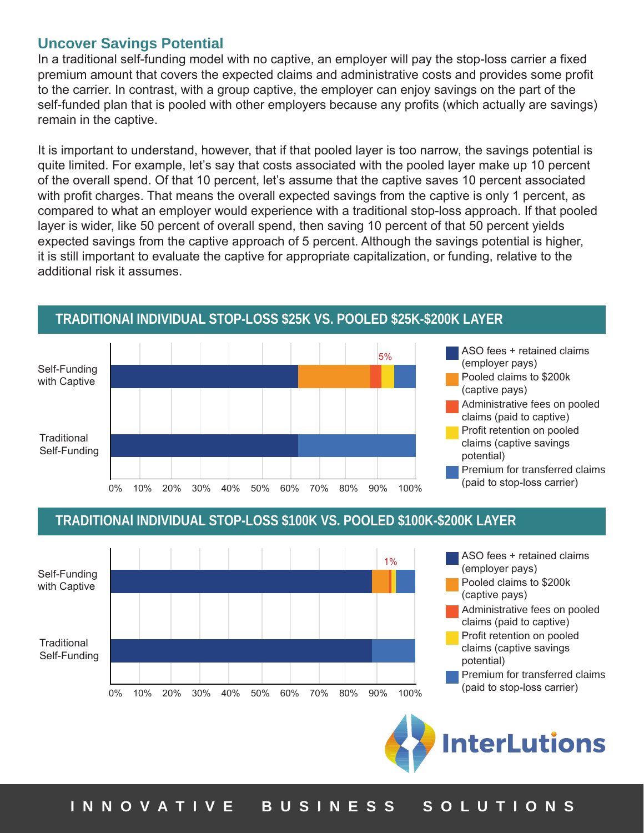#### **Uncover Savings Potential**

In a traditional self-funding model with no captive, an employer will pay the stop-loss carrier a fixed premium amount that covers the expected claims and administrative costs and provides some profit to the carrier. In contrast, with a group captive, the employer can enjoy savings on the part of the self-funded plan that is pooled with other employers because any profits (which actually are savings) remain in the captive.

It is important to understand, however, that if that pooled layer is too narrow, the savings potential is quite limited. For example, let's say that costs associated with the pooled layer make up 10 percent of the overall spend. Of that 10 percent, let's assume that the captive saves 10 percent associated with profit charges. That means the overall expected savings from the captive is only 1 percent, as compared to what an employer would experience with a traditional stop-loss approach. If that pooled layer is wider, like 50 percent of overall spend, then saving 10 percent of that 50 percent yields expected savings from the captive approach of 5 percent. Although the savings potential is higher, it is still important to evaluate the captive for appropriate capitalization, or funding, relative to the additional risk it assumes.



# **TRADITIONAl INDIVIDUAL STOP-LOSS \$25K VS. POOLED \$25K-\$200K LAYER**

#### **TRADITIONAl INDIVIDUAL STOP-LOSS \$100K VS. POOLED \$100K-\$200K LAYER**

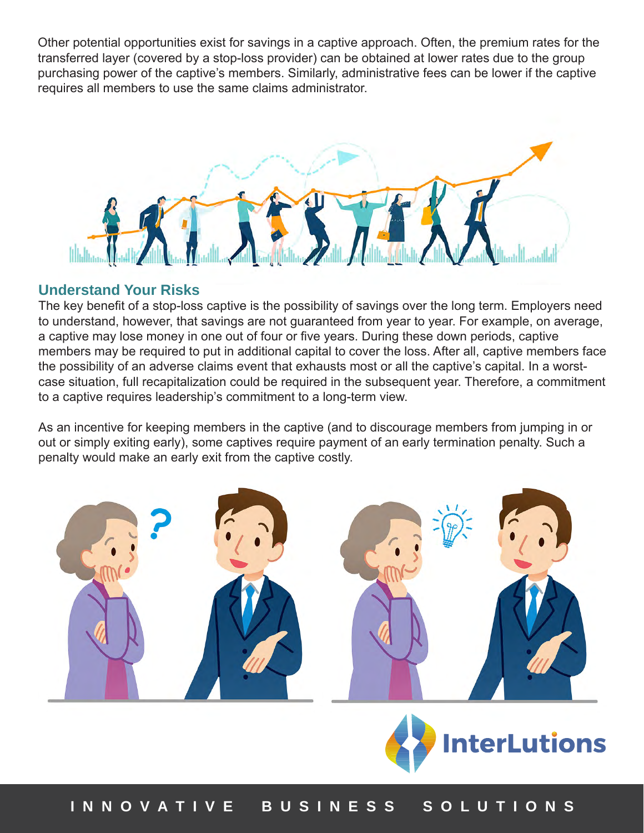Other potential opportunities exist for savings in a captive approach. Often, the premium rates for the transferred layer (covered by a stop-loss provider) can be obtained at lower rates due to the group purchasing power of the captive's members. Similarly, administrative fees can be lower if the captive requires all members to use the same claims administrator.



#### **Understand Your Risks**

The key benefit of a stop-loss captive is the possibility of savings over the long term. Employers need to understand, however, that savings are not guaranteed from year to year. For example, on average, a captive may lose money in one out of four or five years. During these down periods, captive members may be required to put in additional capital to cover the loss. After all, captive members face the possibility of an adverse claims event that exhausts most or all the captive's capital. In a worstcase situation, full recapitalization could be required in the subsequent year. Therefore, a commitment to a captive requires leadership's commitment to a long-term view.

As an incentive for keeping members in the captive (and to discourage members from jumping in or out or simply exiting early), some captives require payment of an early termination penalty. Such a penalty would make an early exit from the captive costly.